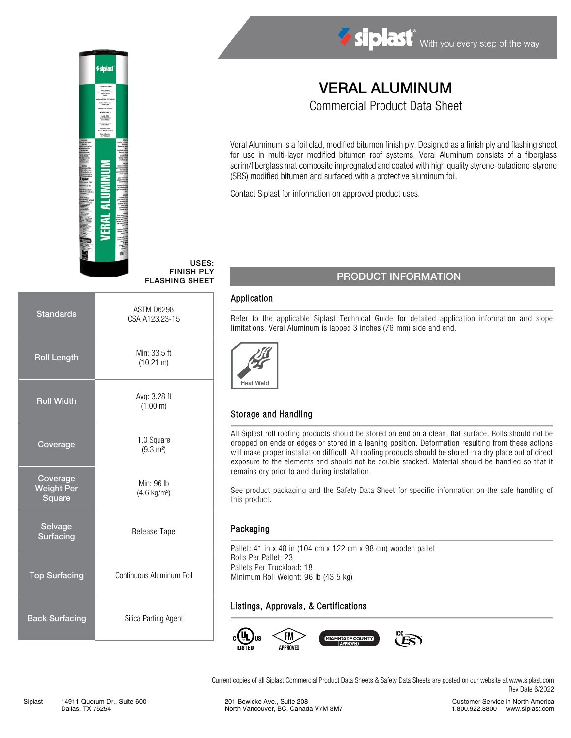

#### USES: FINISH PLY FLASHING SHEET

| <b>Standards</b>                        | ASTM D6298<br>CSA A123.23-15         |  |
|-----------------------------------------|--------------------------------------|--|
| <b>Roll Length</b>                      | Min: 33.5 ft<br>$(10.21 \text{ m})$  |  |
| <b>Roll Width</b>                       | Avg: 3.28 ft<br>(1.00 m)             |  |
| Coverage                                | 1.0 Square<br>$(9.3 \text{ m}^2)$    |  |
| Coverage<br><b>Weight Per</b><br>Square | Min: 96 lb<br>$(4.6 \text{ kg/m}^2)$ |  |
| Selvage<br>Surfacing                    | Release Tape                         |  |
| <b>Top Surfacing</b>                    | Continuous Aluminum Foil             |  |
| <b>Back Surfacing</b>                   | Silica Parting Agent                 |  |

# VERAL ALUMINUM

Siplast With you every step of the way

Commercial Product Data Sheet

Veral Aluminum is a foil clad, modified bitumen finish ply. Designed as a finish ply and flashing sheet for use in multi-layer modified bitumen roof systems, Veral Aluminum consists of a fiberglass scrim/fiberglass mat composite impregnated and coated with high quality styrene-butadiene-styrene (SBS) modified bitumen and surfaced with a protective aluminum foil.

Contact Siplast for information on approved product uses.

## PRODUCT INFORMATION

#### Application

Refer to the applicable Siplast Technical Guide for detailed application information and slope limitations. Veral Aluminum is lapped 3 inches (76 mm) side and end.



#### Storage and Handling

All Siplast roll roofing products should be stored on end on a clean, flat surface. Rolls should not be dropped on ends or edges or stored in a leaning position. Deformation resulting from these actions will make proper installation difficult. All roofing products should be stored in a dry place out of direct exposure to the elements and should not be double stacked. Material should be handled so that it remains dry prior to and during installation.

See product packaging and the Safety Data Sheet for specific information on the safe handling of this product.

#### Packaging

Pallet: 41 in x 48 in (104 cm x 122 cm x 98 cm) wooden pallet Rolls Per Pallet: 23 Pallets Per Truckload: 18 Minimum Roll Weight: 96 lb (43.5 kg)

### Listings, Approvals, & Certifications



Current copies of all Siplast Commercial Product Data Sheets & Safety Data Sheets are posted on our website a[t www.siplast.com](http://www.siplast.com/) Rev Date 6/2022

Customer Service in North America 1.800.922.8800 www.siplast.com